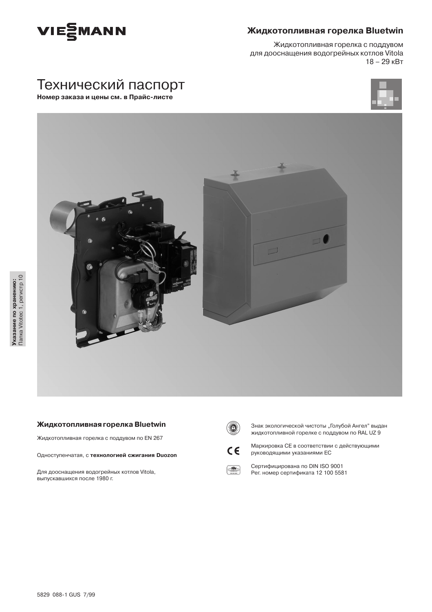

## Жидкотопливная горелка Bluetwin

Жидкотопливная горелка с поддувом для дооснащения водогрейных котлов Vitola  $18 - 29$   $\text{KBT}$ 

# Технический паспорт Номер заказа и цены см. в Прайс-листе





## Жидкотопливная горелка Bluetwin

Жидкотопливная горелка с поддувом по EN 267

Одноступенчатая, с технологией сжигания Duozon

Для дооснащения водогрейных котлов Vitola, выпускавшихся после 1980 г.



Знак экологической чистоты "Голубой Ангел" выдан жидкотопливной горелке с поддувом по RAL UZ 9



Маркировка СЕ в соответствии с действующими руководящими указаниями ЕС



Сертифицирована по DIN ISO 9001 Рег. номер сертификата 12 100 5581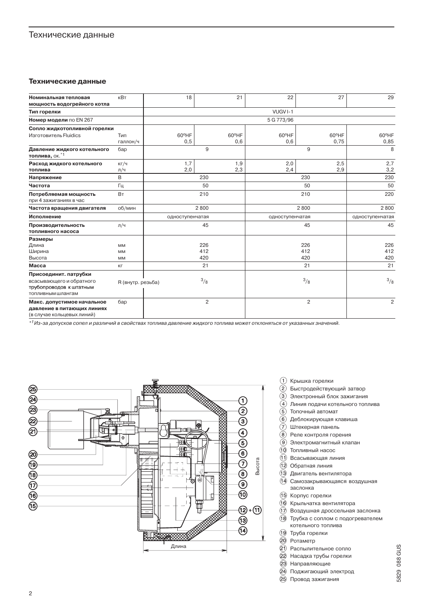## Технические данные

#### Технические данные

| Номинальная тепловая<br>мощность водогрейного котла                                    | кВт               | 18              |  | 21            | 22              | 27             | 29              |
|----------------------------------------------------------------------------------------|-------------------|-----------------|--|---------------|-----------------|----------------|-----------------|
| Тип горелки                                                                            |                   |                 |  |               | VUGVI-1         |                |                 |
| <b>Номер модели по EN 267</b>                                                          | 5 G 773/96        |                 |  |               |                 |                |                 |
| Сопло жидкотопливной горелки                                                           |                   |                 |  |               |                 |                |                 |
| Изготовитель Fluidics                                                                  | Тип               | 60°HF           |  | 60°HF         | 60°HF           | 60°HF          | 60°HF           |
|                                                                                        | галлон/ч          | 0,5             |  | 0,6           | 0,6             | 0,75           | 0,85            |
| Давление жидкого котельного<br>топлива, ок.*1                                          | бар               | 9               |  |               | 9               |                | 8               |
| Расход жидкого котельного                                                              | KT/4              | 1,7             |  | 1,9           | 2,0             | 2,5            | 2,7             |
| топлива                                                                                | л/ч               | 2,0             |  | 2,3           | 2,4             | 2,9            | 3,2             |
| Напряжение                                                                             | B                 | 230             |  |               | 230             |                | 230             |
| Частота                                                                                | Гц                | 50              |  |               | 50              |                | 50              |
| Потребляемая мощность                                                                  | <b>BT</b>         | 210             |  |               | 210             |                | 220             |
| при 4 зажиганиях в час                                                                 |                   |                 |  |               |                 |                |                 |
| Частота вращения двигателя                                                             | об/мин            | 2800            |  |               | 2800            |                | 2800            |
| Исполнение                                                                             |                   | одноступенчатая |  |               | одноступенчатая |                | одноступенчатая |
| Производительность<br>топливного насоса                                                | л/ч               | 45              |  |               | 45              |                | 45              |
| Размеры                                                                                |                   |                 |  |               |                 |                |                 |
| Длина                                                                                  | <b>MM</b>         | 226             |  |               | 226             |                | 226             |
| Ширина                                                                                 | <b>MM</b>         | 412             |  |               | 412             |                | 412             |
| Высота                                                                                 | <b>MM</b>         | 420             |  |               | 420             |                | 420             |
| <b>Macca</b>                                                                           | КΓ                | 21              |  |               | 21              |                | 21              |
| Присоединит. патрубки                                                                  |                   |                 |  |               |                 |                |                 |
| всасывающего и обратного<br>трубопроводов к штатным<br>топливным шлангам               | R (внутр. резьба) | 3/8             |  | $\frac{3}{8}$ |                 | 3/8            |                 |
| Макс. допустимое начальное<br>давление в питающих линиях<br>(в случае кольцевых линий) | бар               | $\overline{c}$  |  | 2             |                 | $\overline{c}$ |                 |

\*<sup>1</sup> Из-за допусков сопел и различий в свойствах топлива давление жидкого топлива может отклоняться от указанных значений.



- 1 Крышка горелки
- 2 Быстродействующий затвор
- $\overline{3}$  Электронный блок зажигания
- (4) Линия подачи котельного топлива
- (5) Топочный автомат
- 6 Деблокирующая клавиша
- $(7)$  Штекерная панель
- $\widehat{B}$ ) Реле контроля горения
- $\overline{(9)}$  Электромагнитный клапан
- (10) Топливный насос
- $\widetilde{11}$  Всасывающая линия
- (12) Обратная линия
- (13) Двигатель вентилятора
- 14 Самозакрывающаяся воздушная заслонка
- (15) Корпус горелки
- 16 Крыльчатка вентилятора
- (17) Воздушная дроссельная заслонка
- (18) Трубка с соплом с подогревателем котельного топлива
- 19 Труба горелки
- 20 Ротаметр
- (21) Распылительное сопло
- 22 Насадка трубы горелки
- 23 Направляющие
- 24) Поджигающий электрод
- 25 Провод зажигания
- 5829 088 GUS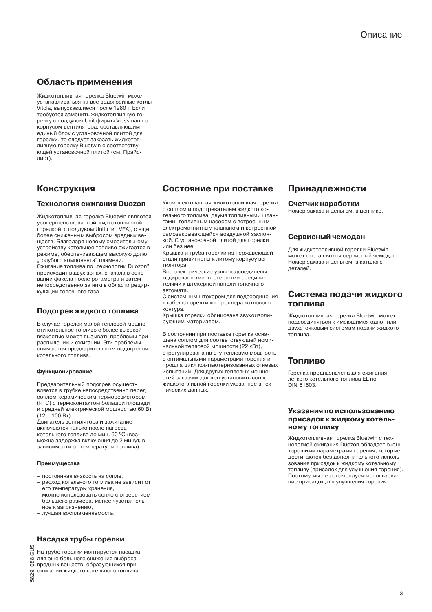3

# Описание

# Область применения

Жидкотопливная горелка Bluetwin может устанавливаться на все водогрейные котлы .<br>Vitola, выпускавшиеся после 1980 г. Если требуется заменить жидкотопливную горелку с поддувом Unit фирмы Viessmann с корпусом вентилятора. составляющим елиный блок с установочной плитой для горелки, то следует заказать жидкотопливную горелку Bluetwin с соответствующей установочной плитой (см. Прайслист).

# **Конструкция**

## **Технология сжигания Duozon**

Жидкотопливная горелка Bluetwin является усовершенствованной жидкотопливной горелкой с поллувом Unit (тип VFA) с еще более сниженным выбросом вредных веществ. Благодаря новому смесительному устройству котельное топливо сжигается в режиме, обеспечивающем высокую долю голубого компонента" пламени. Сжигание топлива по "технологии Duozon" происходит в двух зонах, сначала в основании факела после ротаметра и затем непосредственно за ним в области рециркуляции топочного газа.

### Подогрев жидкого топлива

В случае горелок малой тепловой мощности котельное топливо с более высокой вязкостью может вызывать проблемы при распылении и сжигании. Эти проблемы снимаются предварительным подогревом котельного топлива.

#### Функционирование

Предварительный подогрев осуществляется в трубке непосредственно перед соплом керамическим терморезистором (РТС) с термоконтактом большой площали и средней электрической мощностью 60 Вт  $(12 - 100 B)$ .

Двигатель вентилятора и зажигание включаются только после нагрева котельного топлива до мин. 60 °С (возможна задержка включения до 2 минут, в зависимости от температуры топлива).

#### Преимущества

- постоянная вязкость на сопле.
- расход котельного топлива не зависит от его температуры хранения,
- можно использовать сопло с отверстием большего размера, менее чувствительное к загрязнению.
- лучшая воспламеняемость.

## Насадка трубы горелки

ු На трубе горелки монтируется насадка, о для еще большего снижения выброса<br>© вредных веществ, образующихся при

сжигании жидкого котельного топлива.

# 5829

## Состояние при поставке

Укомплектованная жидкотопливная горелка с соплом и подогревателем жидкого котельного топлива. двумя топливными шлангами, топливным насосом с встроенным электромагнитным клапаном и встроенной самозакрывающейся воздушной заслонкой. С установочной плитой для горелки или без нее.

Крышка и труба горелки из нержавеющей стали привинчены к литому корпусу вентилятора.

Все электрические узлы подсоединены кодированными штекерными соединителями к штекерной панели топочного автомата.

С системным штекером для подсоединения к кабелю горелки контроллера котлового контура.

Крышка горелки облицована звукоизолирующим материалом.

В состоянии при поставке горелка оснащена соплом для соответствующей номинальной тепловой мощности (22 кВт), отрегулирована на эту тепловую мощность с оптимальными параметрами горения и прошла цикл компьютеризованных огневых испытаний. Для других тепловых мощностей заказчик должен установить сопло жидкотопливной горелки указанное в технических ланных.

## Принадлежности

#### Счетчик наработки

Номер заказа и цены см. в ценнике.

## Сервисный чемодан

Для жидкотопливной горелки Bluetwin может поставляться сервисный чемодан. Номер заказа и цены см. в каталоге леталей.

## Система подачи жидкого топлива

Жидкотопливная горелка Bluetwin может подсоединяться к имеющимся одно- или двухстояковым системам подачи жидкого ТОПЛИВА

## Топливо

Горелка прелназначена лля сжигания легкого котельного топлива EL по DIN 51603

#### Указания по использованию присадок к жидкому котель-**НОМУ ТОПЛИВУ**

Жидкотопливная горелка Bluetwin с технологией сжигания Duozon обладает очень хорошими параметрами горения, которые достигаются без дополнительного использования присадок к жидкому котельному топливу (присадок для улучшения горения). Поэтому мы не рекомендуем использование присадок для улучшения горения.